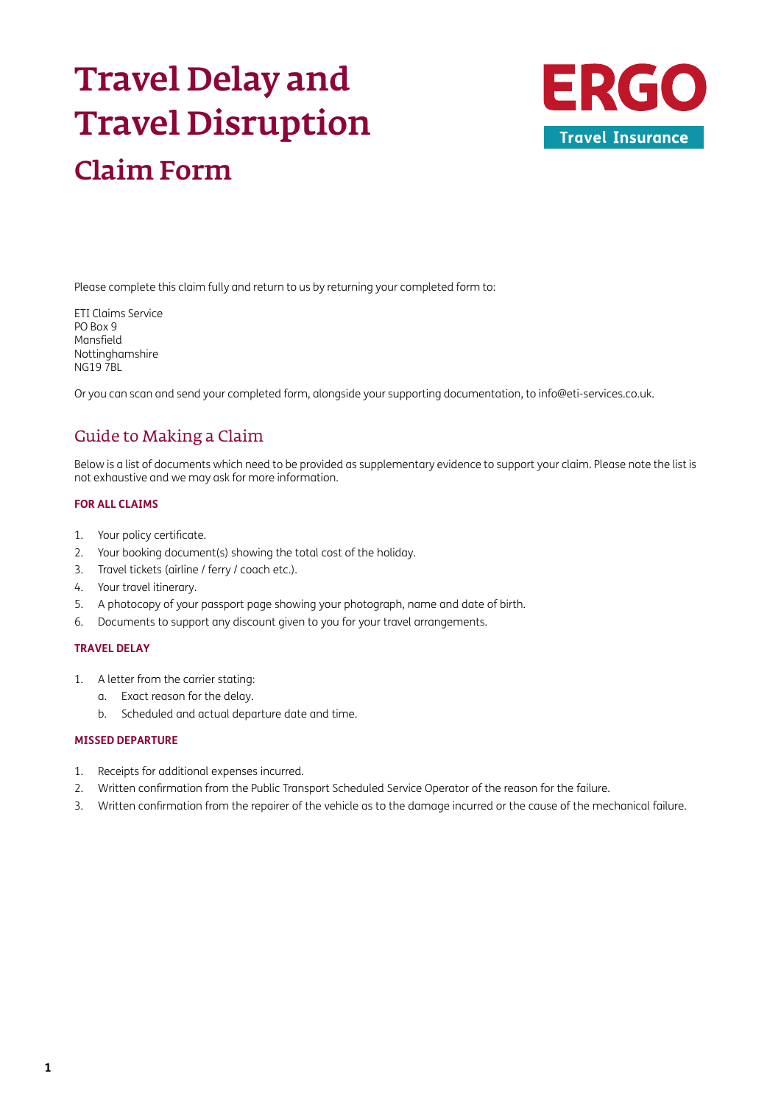# Travel Delay and Travel Disruption Claim Form



Please complete this claim fully and return to us by returning your completed form to:

ETI Claims Service PO Box 9 Mansfield Nottinghamshire NG19 7BL

Or you can scan and send your completed form, alongside your supporting documentation, to [info@eti-services.co.uk.](mailto:info%40eti-services.co.uk?subject=)

# Guide to Making a Claim

Below is a list of documents which need to be provided as supplementary evidence to support your claim. Please note the list is not exhaustive and we may ask for more information.

### **FOR ALL CLAIMS**

- 1. Your policy certificate.
- 2. Your booking document(s) showing the total cost of the holiday.
- 3. Travel tickets (airline / ferry / coach etc.).
- 4. Your travel itinerary.
- 5. A photocopy of your passport page showing your photograph, name and date of birth.
- 6. Documents to support any discount given to you for your travel arrangements.

### **TRAVEL DELAY**

- 1. A letter from the carrier stating:
	- a. Exact reason for the delay.
	- b. Scheduled and actual departure date and time.

### **MISSED DEPARTURE**

- 1. Receipts for additional expenses incurred.
- 2. Written confirmation from the Public Transport Scheduled Service Operator of the reason for the failure.
- 3. Written confirmation from the repairer of the vehicle as to the damage incurred or the cause of the mechanical failure.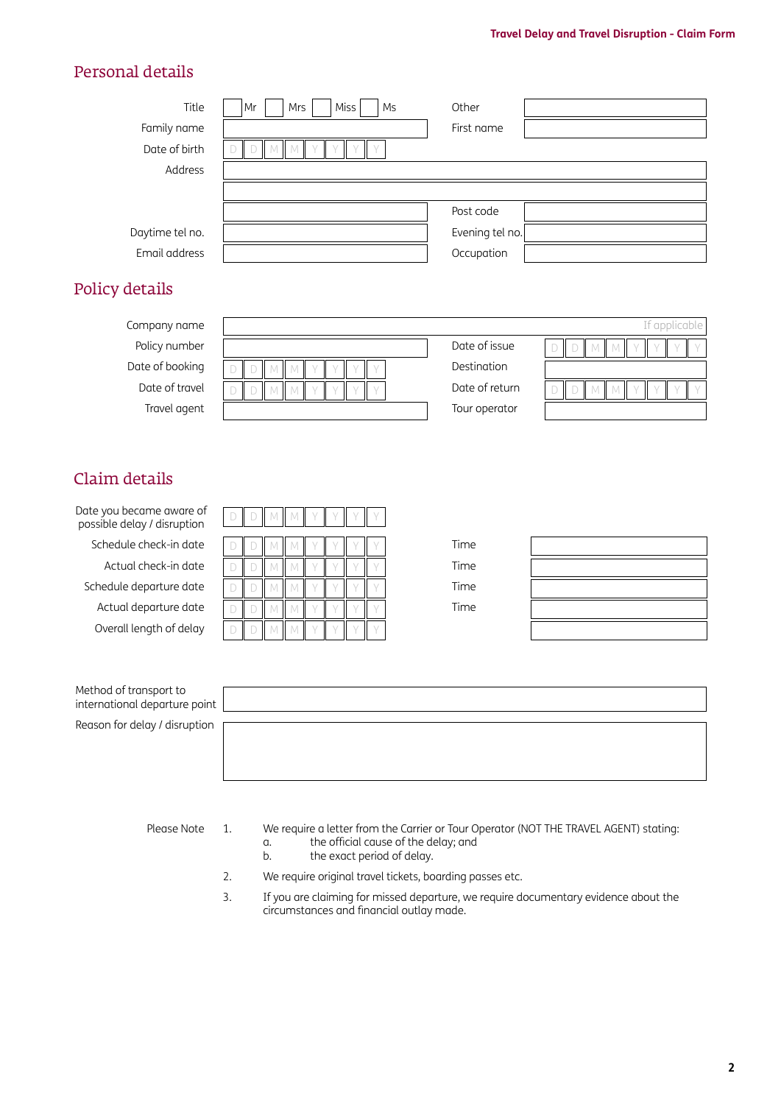### Personal details

| Title           | Miss<br>Mrs<br>Mr<br>Ms | Other           |
|-----------------|-------------------------|-----------------|
| Family name     |                         | First name      |
| Date of birth   |                         |                 |
| Address         |                         |                 |
|                 |                         |                 |
|                 |                         | Post code       |
| Daytime tel no. |                         | Evening tel no. |
| Email address   |                         | Occupation      |
|                 |                         |                 |

# Policy details

| Company name    |              |                | If applicable |
|-----------------|--------------|----------------|---------------|
| Policy number   |              | Date of issue  |               |
| Date of booking |              | Destination    |               |
| Date of travel  | $\mathbf{H}$ | Date of return |               |
| Travel agent    |              | Tour operator  |               |

# Claim details

Date you became aware of possible delay / disruption

- 
- 
- 
- 
- Overall length of delay

| ate you became aware or<br>oossible delay / disruption |  |  |  |  |      |
|--------------------------------------------------------|--|--|--|--|------|
| Schedule check-in date                                 |  |  |  |  | Time |
| Actual check-in date                                   |  |  |  |  | Time |
| Schedule departure date                                |  |  |  |  | Time |
| Actual departure date                                  |  |  |  |  | Time |
| Overall length of delay                                |  |  |  |  |      |

| the control of the control of the | the contract of the contract of the contract of |
|-----------------------------------|-------------------------------------------------|
|                                   |                                                 |
|                                   |                                                 |
|                                   |                                                 |
|                                   |                                                 |
|                                   |                                                 |
|                                   |                                                 |
|                                   |                                                 |
|                                   |                                                 |
|                                   |                                                 |
|                                   |                                                 |

| Method of transport to<br>international departure point |  |
|---------------------------------------------------------|--|
| Reason for delay / disruption                           |  |

- Please Note 1. We require a letter from the Carrier or Tour Operator (NOT THE TRAVEL AGENT) stating: a. the official cause of the delay; and<br>b. the exact period of delay.
	- the exact period of delay.
	- 2. We require original travel tickets, boarding passes etc.
	- 3. If you are claiming for missed departure, we require documentary evidence about the circumstances and financial outlay made.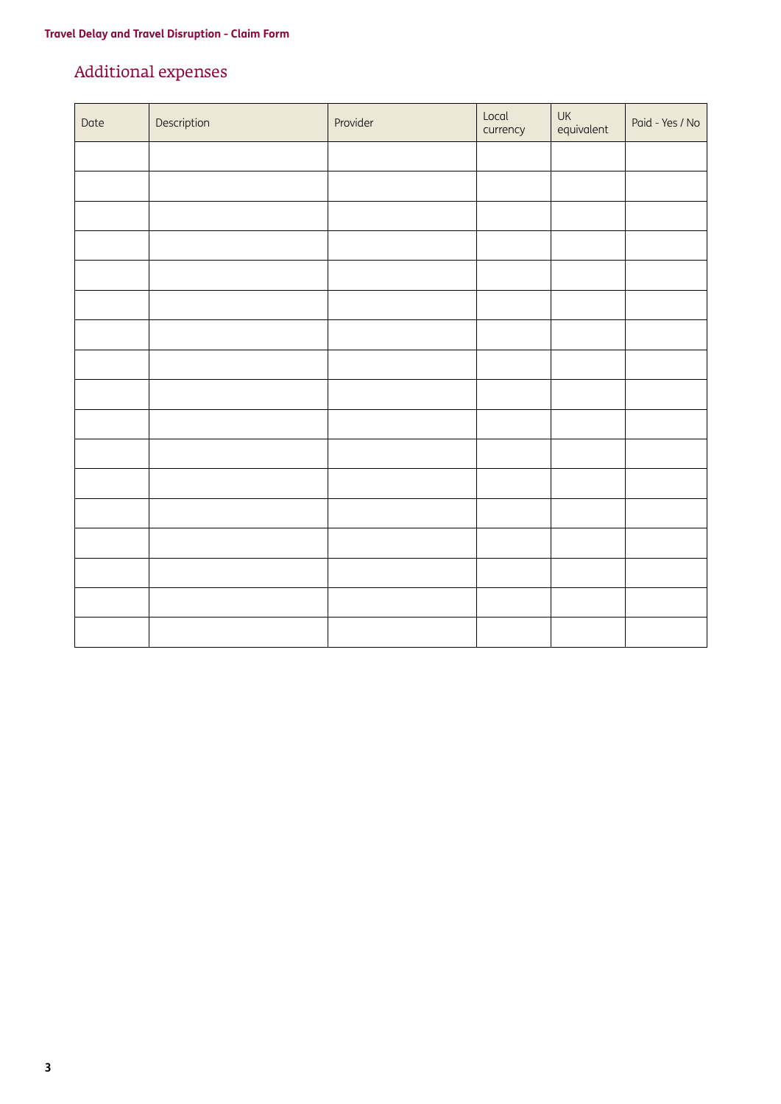# Additional expenses

| Date | Description | Provider | Local<br>currency | UK<br>equivalent | Paid - Yes / No |
|------|-------------|----------|-------------------|------------------|-----------------|
|      |             |          |                   |                  |                 |
|      |             |          |                   |                  |                 |
|      |             |          |                   |                  |                 |
|      |             |          |                   |                  |                 |
|      |             |          |                   |                  |                 |
|      |             |          |                   |                  |                 |
|      |             |          |                   |                  |                 |
|      |             |          |                   |                  |                 |
|      |             |          |                   |                  |                 |
|      |             |          |                   |                  |                 |
|      |             |          |                   |                  |                 |
|      |             |          |                   |                  |                 |
|      |             |          |                   |                  |                 |
|      |             |          |                   |                  |                 |
|      |             |          |                   |                  |                 |
|      |             |          |                   |                  |                 |
|      |             |          |                   |                  |                 |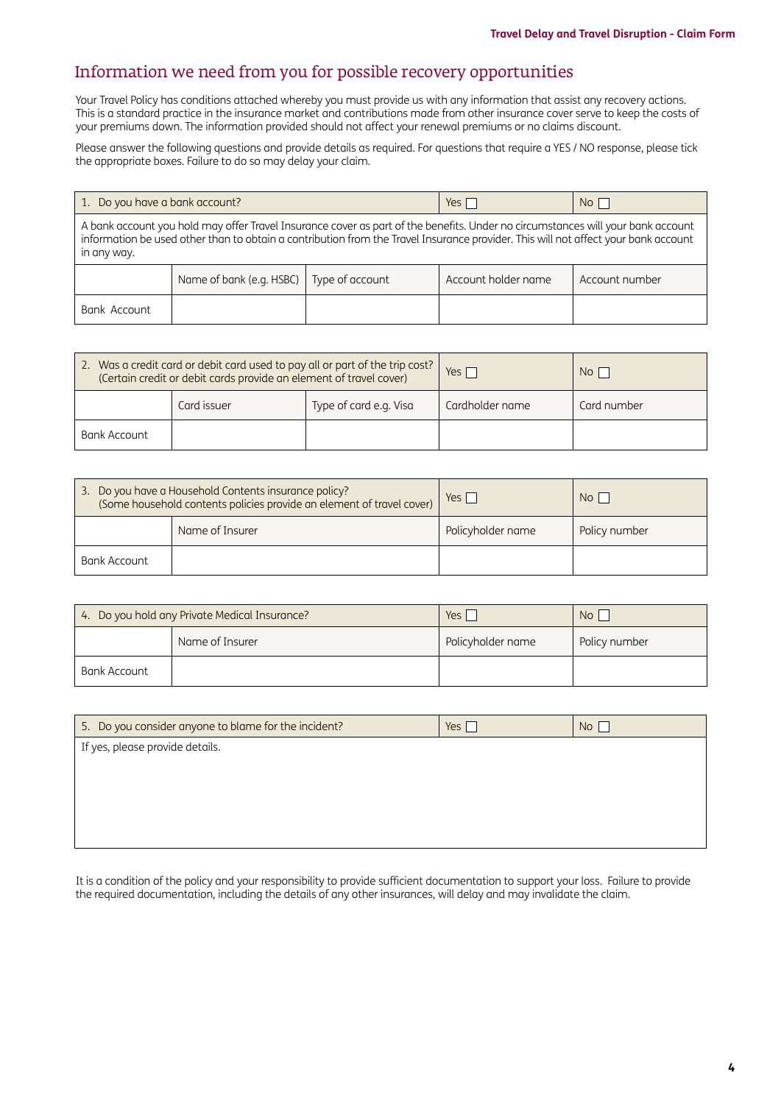# Information we need from you for possible recovery opportunities

Your Travel Policy has conditions attached whereby you must provide us with any information that assist any recovery actions. This is a standard practice in the insurance market and contributions made from other insurance cover serve to keep the costs of your premiums down. The information provided should not affect your renewal premiums or no claims discount.

Please answer the following questions and provide details as required. For questions that require a YES / NO response, please tick the appropriate boxes. Failure to do so may delay your claim.

| 1. Do you have a bank account?                                                                                                                                                                                                                                                       |                          |                 | $Yes$               | $No$           |
|--------------------------------------------------------------------------------------------------------------------------------------------------------------------------------------------------------------------------------------------------------------------------------------|--------------------------|-----------------|---------------------|----------------|
| A bank account you hold may offer Travel Insurance cover as part of the benefits. Under no circumstances will your bank account<br>information be used other than to obtain a contribution from the Travel Insurance provider. This will not affect your bank account<br>in any way. |                          |                 |                     |                |
|                                                                                                                                                                                                                                                                                      | Name of bank (e.g. HSBC) | Type of account | Account holder name | Account number |
| Bank Account                                                                                                                                                                                                                                                                         |                          |                 |                     |                |

| 2. Was a credit card or debit card used to pay all or part of the trip cost?<br>(Certain credit or debit cards provide an element of travel cover) |             |                        | Yes $\Gamma$    | No <sub>1</sub> |
|----------------------------------------------------------------------------------------------------------------------------------------------------|-------------|------------------------|-----------------|-----------------|
|                                                                                                                                                    | Card issuer | Type of card e.g. Visa | Cardholder name | Card number     |
| Bank Account                                                                                                                                       |             |                        |                 |                 |

| 3. Do you have a Household Contents insurance policy?<br>(Some household contents policies provide an element of travel cover) |  | $Yes \mid$        | N <sub>O</sub> |
|--------------------------------------------------------------------------------------------------------------------------------|--|-------------------|----------------|
| Name of Insurer                                                                                                                |  | Policyholder name | Policy number  |
| Bank Account                                                                                                                   |  |                   |                |

| 4. Do you hold any Private Medical Insurance? |                 | Yes i             | No <sub>1</sub> |
|-----------------------------------------------|-----------------|-------------------|-----------------|
|                                               | Name of Insurer | Policyholder name | Policy number   |
| Bank Account                                  |                 |                   |                 |

| 5. Do you consider anyone to blame for the incident? | Yes | No <sub>1</sub> |
|------------------------------------------------------|-----|-----------------|
| If yes, please provide details.                      |     |                 |
|                                                      |     |                 |
|                                                      |     |                 |
|                                                      |     |                 |
|                                                      |     |                 |

It is a condition of the policy and your responsibility to provide sufficient documentation to support your loss. Failure to provide the required documentation, including the details of any other insurances, will delay and may invalidate the claim.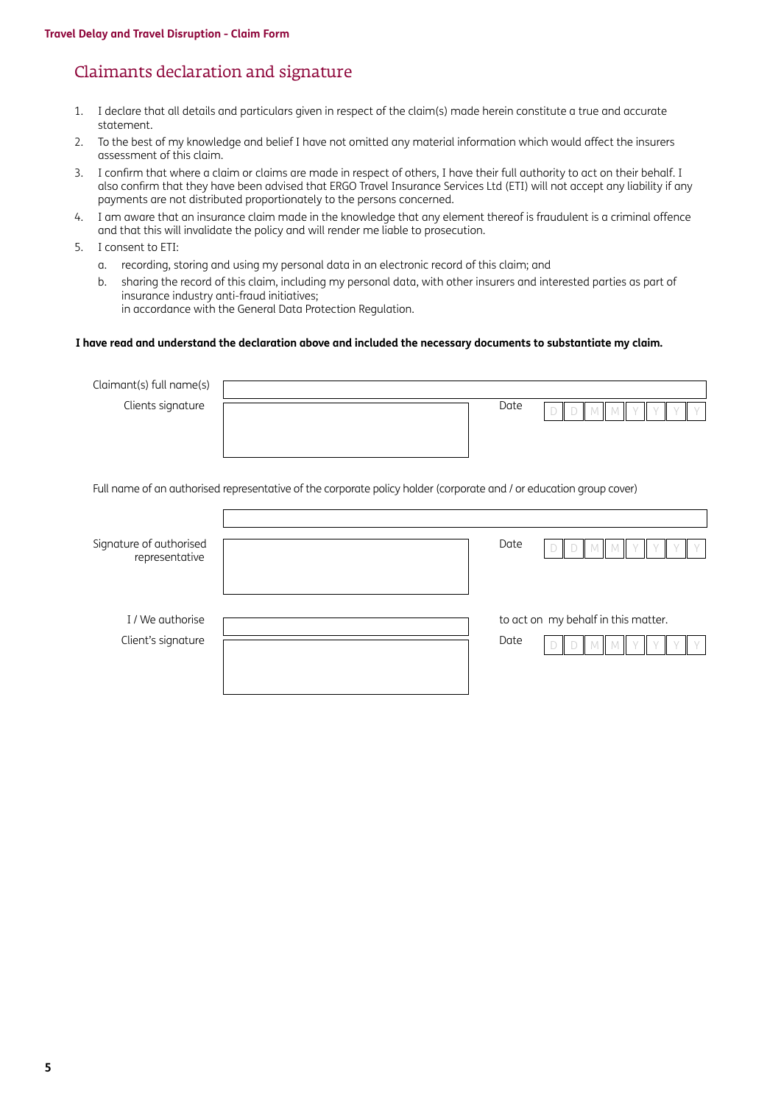# Claimants declaration and signature

- 1. I declare that all details and particulars given in respect of the claim(s) made herein constitute a true and accurate statement.
- 2. To the best of my knowledge and belief I have not omitted any material information which would affect the insurers assessment of this claim.
- 3. I confirm that where a claim or claims are made in respect of others, I have their full authority to act on their behalf. I also confirm that they have been advised that ERGO Travel Insurance Services Ltd (ETI) will not accept any liability if any payments are not distributed proportionately to the persons concerned.
- 4. I am aware that an insurance claim made in the knowledge that any element thereof is fraudulent is a criminal offence and that this will invalidate the policy and will render me liable to prosecution.
- 5. I consent to ETI:
	- a. recording, storing and using my personal data in an electronic record of this claim; and
	- b. sharing the record of this claim, including my personal data, with other insurers and interested parties as part of insurance industry anti-fraud initiatives; in accordance with the General Data Protection Regulation.

### **I have read and understand the declaration above and included the necessary documents to substantiate my claim.**

| Claimant(s) full name(s)                  |                                                                                                                     |
|-------------------------------------------|---------------------------------------------------------------------------------------------------------------------|
| Clients signature                         | Date<br>$\Box$                                                                                                      |
|                                           |                                                                                                                     |
|                                           |                                                                                                                     |
|                                           |                                                                                                                     |
|                                           | Full name of an authorised representative of the corporate policy holder (corporate and / or education group cover) |
|                                           |                                                                                                                     |
|                                           |                                                                                                                     |
| Signature of authorised<br>representative | Date                                                                                                                |
|                                           |                                                                                                                     |
|                                           |                                                                                                                     |
| I / We authorise                          | to act on my behalf in this matter.                                                                                 |
| Client's signature                        | Date                                                                                                                |
|                                           |                                                                                                                     |
|                                           |                                                                                                                     |
|                                           |                                                                                                                     |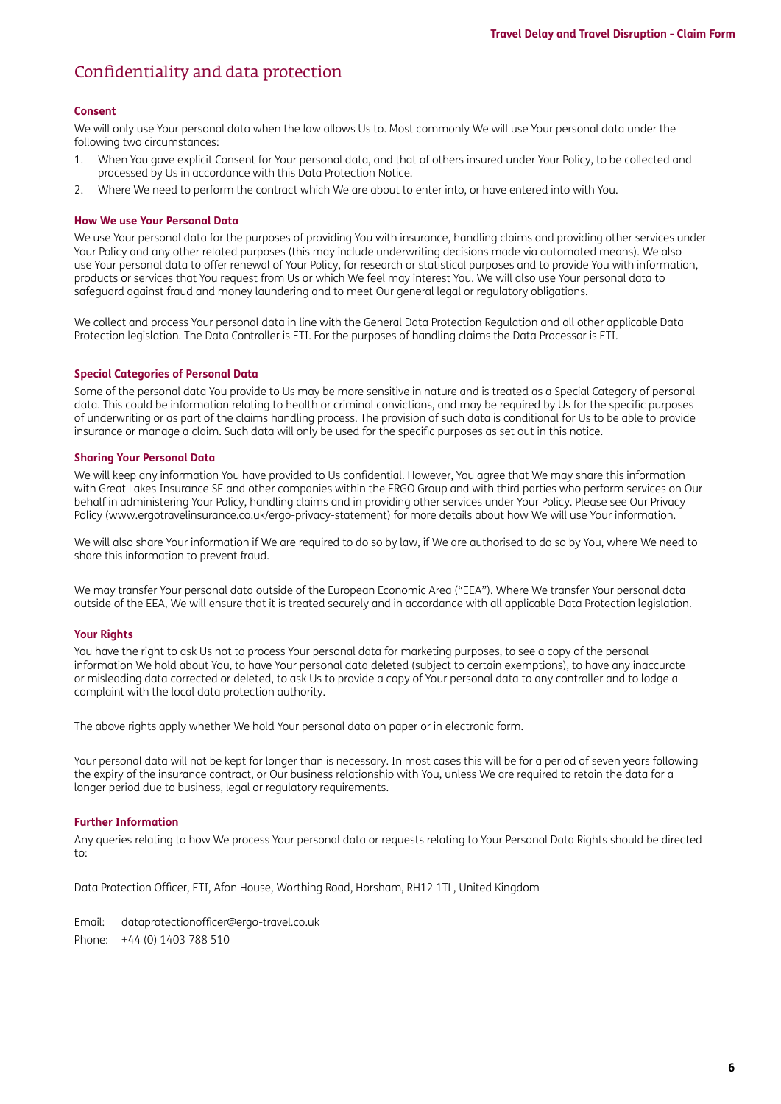# Confidentiality and data protection

### **Consent**

We will only use Your personal data when the law allows Us to. Most commonly We will use Your personal data under the following two circumstances:

- 1. When You gave explicit Consent for Your personal data, and that of others insured under Your Policy, to be collected and processed by Us in accordance with this Data Protection Notice.
- 2. Where We need to perform the contract which We are about to enter into, or have entered into with You.

### **How We use Your Personal Data**

We use Your personal data for the purposes of providing You with insurance, handling claims and providing other services under Your Policy and any other related purposes (this may include underwriting decisions made via automated means). We also use Your personal data to offer renewal of Your Policy, for research or statistical purposes and to provide You with information, products or services that You request from Us or which We feel may interest You. We will also use Your personal data to safeguard against fraud and money laundering and to meet Our general legal or regulatory obligations.

We collect and process Your personal data in line with the General Data Protection Regulation and all other applicable Data Protection legislation. The Data Controller is ETI. For the purposes of handling claims the Data Processor is ETI.

### **Special Categories of Personal Data**

Some of the personal data You provide to Us may be more sensitive in nature and is treated as a Special Category of personal data. This could be information relating to health or criminal convictions, and may be required by Us for the specific purposes of underwriting or as part of the claims handling process. The provision of such data is conditional for Us to be able to provide insurance or manage a claim. Such data will only be used for the specific purposes as set out in this notice.

#### **Sharing Your Personal Data**

We will keep any information You have provided to Us confidential. However, You agree that We may share this information with Great Lakes Insurance SE and other companies within the ERGO Group and with third parties who perform services on Our behalf in administering Your Policy, handling claims and in providing other services under Your Policy. Please see Our Privacy Policy [\(www.ergotravelinsurance.co.uk/ergo-privacy-statement](http://www.ergotravelinsurance.co.uk/ergo-privacy-statement)) for more details about how We will use Your information.

We will also share Your information if We are required to do so by law, if We are authorised to do so by You, where We need to share this information to prevent fraud.

We may transfer Your personal data outside of the European Economic Area ("EEA"). Where We transfer Your personal data outside of the EEA, We will ensure that it is treated securely and in accordance with all applicable Data Protection legislation.

### **Your Rights**

You have the right to ask Us not to process Your personal data for marketing purposes, to see a copy of the personal information We hold about You, to have Your personal data deleted (subject to certain exemptions), to have any inaccurate or misleading data corrected or deleted, to ask Us to provide a copy of Your personal data to any controller and to lodge a complaint with the local data protection authority.

The above rights apply whether We hold Your personal data on paper or in electronic form.

Your personal data will not be kept for longer than is necessary. In most cases this will be for a period of seven years following the expiry of the insurance contract, or Our business relationship with You, unless We are required to retain the data for a longer period due to business, legal or regulatory requirements.

#### **Further Information**

Any queries relating to how We process Your personal data or requests relating to Your Personal Data Rights should be directed to:

Data Protection Officer, ETI, Afon House, Worthing Road, Horsham, RH12 1TL, United Kingdom

Email: [dataprotectionofficer@ergo-travel.co.uk](mailto:dataprotectionofficer%40ergo-travel.co.uk?subject=) Phone: +44 (0) 1403 788 510